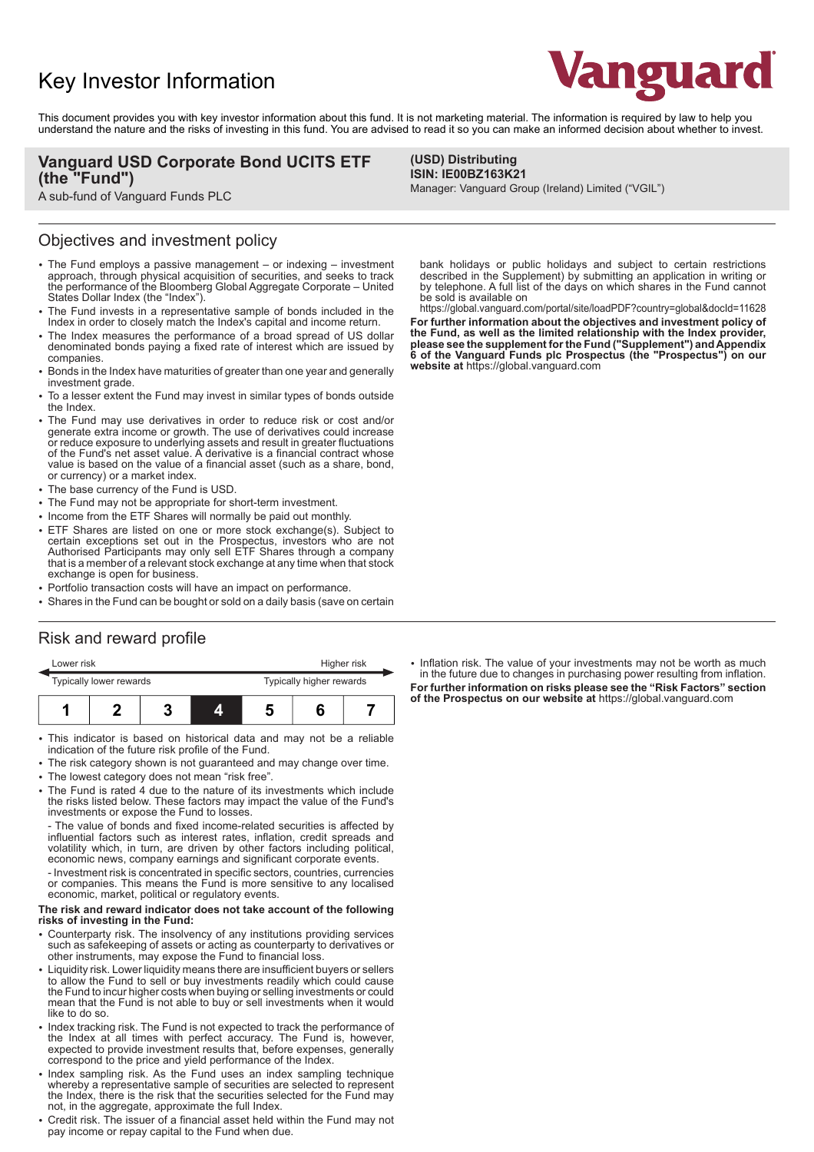# Key Investor Information



This document provides you with key investor information about this fund. It is not marketing material. The information is required by law to help you understand the nature and the risks of investing in this fund. You are advised to read it so you can make an informed decision about whether to invest.

> **(USD) Distributing ISIN: IE00BZ163K21**

### **Vanguard USD Corporate Bond UCITS ETF (the "Fund")**

A sub-fund of Vanguard Funds PLC

### Objectives and investment policy

- The Fund employs a passive management or indexing investment approach, through physical acquisition of securities, and seeks to track the performance of the Bloomberg Global Aggregate Corporate – United States Dollar Index (the "Index").
- 2 The Fund invests in a representative sample of bonds included in the Index in order to closely match the Index's capital and income return.
- The Index measures the performance of a broad spread of US dollar denominated bonds paying a fixed rate of interest which are issued by companies.
- 2 Bonds in the Index have maturities of greater than one year and generally investment grade.
- To a lesser extent the Fund may invest in similar types of bonds outside the Index.
- The Fund may use derivatives in order to reduce risk or cost and/or generate extra income or growth. The use of derivatives could increase or reduce exposure to underlying assets and result in greater fluctuations of the Fund's net asset value. A derivative is a financial contract whose value is based on the value of a financial asset (such as a share, bond, or currency) or a market index.
- The base currency of the Fund is USD.
- The Fund may not be appropriate for short-term investment.
- Income from the ETF Shares will normally be paid out monthly.
- ETF Shares are listed on one or more stock exchange(s). Subject to certain exceptions set out in the Prospectus, investors who are not Authorised Participants may only sell ETF Shares through a company that is a member of a relevant stock exchange at any time when that stock exchange is open for business.
- Portfolio transaction costs will have an impact on performance.
- Shares in the Fund can be bought or sold on a daily basis (save on certain

## Risk and reward profile

| Lower risk              |  |  |  | Higher risk              |  |  |
|-------------------------|--|--|--|--------------------------|--|--|
| Typically lower rewards |  |  |  | Typically higher rewards |  |  |
|                         |  |  |  |                          |  |  |

- This indicator is based on historical data and may not be a reliable indication of the future risk profile of the Fund.
- The risk category shown is not guaranteed and may change over time.
- The lowest category does not mean "risk free".
- 2 The Fund is rated 4 due to the nature of its investments which include the risks listed below. These factors may impact the value of the Fund's investments or expose the Fund to losses.

- The value of bonds and fixed income-related securities is affected by influential factors such as interest rates, inflation, credit spreads and volatility which, in turn, are driven by other factors including political, economic news, company earnings and significant corporate events.

- Investment risk is concentrated in specific sectors, countries, currencies or companies. This means the Fund is more sensitive to any localised economic, market, political or regulatory events.

#### **The risk and reward indicator does not take account of the following risks of investing in the Fund:**

- Counterparty risk. The insolvency of any institutions providing services such as safekeeping of assets or acting as counterparty to derivatives or other instruments, may expose the Fund to financial loss.
- Liquidity risk. Lower liquidity means there are insufficient buyers or sellers to allow the Fund to sell or buy investments readily which could cause the Fund to incur higher costs when buying or selling investments or could mean that the Fund is not able to buy or sell investments when it would like to do so.
- Index tracking risk. The Fund is not expected to track the performance of the Index at all times with perfect accuracy. The Fund is, however, expected to provide investment results that, before expenses, generally correspond to the price and yield performance of the Index.
- Index sampling risk. As the Fund uses an index sampling technique whereby a representative sample of securities are selected to represent the Index, there is the risk that the securities selected for the Fund may not, in the aggregate, approximate the full Index.
- Credit risk. The issuer of a financial asset held within the Fund may not pay income or repay capital to the Fund when due.

bank holidays or public holidays and subject to certain restrictions described in the Supplement) by submitting an application in writing or by telephone. A full list of the days on which shares in the Fund cannot be sold is available on

Manager: Vanguard Group (Ireland) Limited ("VGIL")

https://global.vanguard.com/portal/site/loadPDF?country=global&docId=11628 **For further information about the objectives and investment policy of the Fund, as well as the limited relationship with the Index provider, please see the supplement for the Fund ("Supplement") and Appendix 6 of the Vanguard Funds plc Prospectus (the "Prospectus") on our website at** https://global.vanguard.com

• Inflation risk. The value of your investments may not be worth as much in the future due to changes in purchasing power resulting from inflation. **For further information on risks please see the "Risk Factors" section of the Prospectus on our website at** https://global.vanguard.com